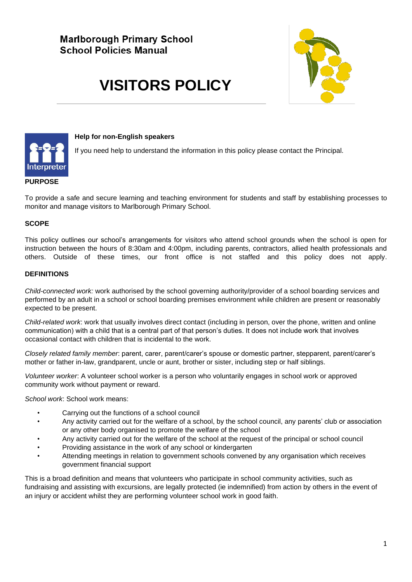# **Marlborough Primary School School Policies Manual**

# **VISITORS POLICY**





#### **Help for non-English speakers**

If you need help to understand the information in this policy please contact the Principal.

#### **PURPOSE**

To provide a safe and secure learning and teaching environment for students and staff by establishing processes to monitor and manage visitors to Marlborough Primary School.

#### **SCOPE**

This policy outlines our school's arrangements for visitors who attend school grounds when the school is open for instruction between the hours of 8:30am and 4:00pm, including parents, contractors, allied health professionals and others. Outside of these times, our front office is not staffed and this policy does not apply.

#### **DEFINITIONS**

*Child-connected work:* work authorised by the school governing authority/provider of a school boarding services and performed by an adult in a school or school boarding premises environment while children are present or reasonably expected to be present.

*Child-related work*: work that usually involves direct contact (including in person, over the phone, written and online communication) with a child that is a central part of that person's duties. It does not include work that involves occasional contact with children that is incidental to the work.

*Closely related family member*: parent, carer, parent/carer's spouse or domestic partner, stepparent, parent/carer's mother or father in-law, grandparent, uncle or aunt, brother or sister, including step or half siblings.

*Volunteer worker*: A volunteer school worker is a person who voluntarily engages in school work or approved community work without payment or reward.

*School work*: School work means:

- Carrying out the functions of a school council
- Any activity carried out for the welfare of a school, by the school council, any parents' club or association or any other body organised to promote the welfare of the school
- Any activity carried out for the welfare of the school at the request of the principal or school council
- Providing assistance in the work of any school or kindergarten
- Attending meetings in relation to government schools convened by any organisation which receives government financial support

This is a broad definition and means that volunteers who participate in school community activities, such as fundraising and assisting with excursions, are legally protected (ie indemnified) from action by others in the event of an injury or accident whilst they are performing volunteer school work in good faith.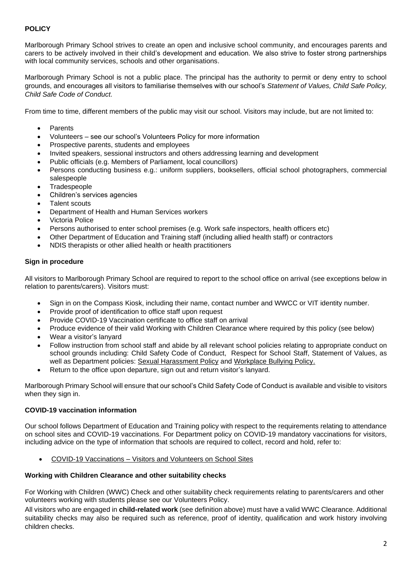### **POLICY**

Marlborough Primary School strives to create an open and inclusive school community, and encourages parents and carers to be actively involved in their child's development and education. We also strive to foster strong partnerships with local community services, schools and other organisations.

Marlborough Primary School is not a public place. The principal has the authority to permit or deny entry to school grounds, and encourages all visitors to familiarise themselves with our school's *Statement of Values, Child Safe Policy, Child Safe Code of Conduct.*

From time to time, different members of the public may visit our school. Visitors may include, but are not limited to:

- **Parents**
- Volunteers see our school's Volunteers Policy for more information
- Prospective parents, students and employees
- Invited speakers, sessional instructors and others addressing learning and development
- Public officials (e.g. Members of Parliament, local councillors)
- Persons conducting business e.g.: uniform suppliers, booksellers, official school photographers, commercial salespeople
- **Tradespeople**
- Children's services agencies
- Talent scouts
- Department of Health and Human Services workers
- Victoria Police
- Persons authorised to enter school premises (e.g. Work safe inspectors, health officers etc)
- Other Department of Education and Training staff (including allied health staff) or contractors
- NDIS therapists or other allied health or health practitioners

#### **Sign in procedure**

All visitors to Marlborough Primary School are required to report to the school office on arrival (see exceptions below in relation to parents/carers). Visitors must:

- Sign in on the Compass Kiosk, including their name, contact number and WWCC or VIT identity number.
- Provide proof of identification to office staff upon request
- Provide COVID-19 Vaccination certificate to office staff on arrival
- Produce evidence of their valid Working with Children Clearance where required by this policy (see below)
- Wear a visitor's lanyard
- Follow instruction from school staff and abide by all relevant school policies relating to appropriate conduct on school grounds including: Child Safety Code of Conduct, Respect for School Staff, Statement of Values, as well as Department policies: [Sexual Harassment Policy](https://www2.education.vic.gov.au/pal/sexual-harassment/overview) and [Workplace Bullying Policy.](https://www2.education.vic.gov.au/pal/workplace-bullying/policy)
- Return to the office upon departure, sign out and return visitor's lanyard.

Marlborough Primary School will ensure that our school's Child Safety Code of Conduct is available and visible to visitors when they sign in.

#### **COVID-19 vaccination information**

Our school follows Department of Education and Training policy with respect to the requirements relating to attendance on school sites and COVID-19 vaccinations. For Department policy on COVID-19 mandatory vaccinations for visitors, including advice on the type of information that schools are required to collect, record and hold, refer to:

• COVID-19 Vaccinations – [Visitors and Volunteers on School Sites](https://www2.education.vic.gov.au/pal/covid-19-vaccinations-visitors-volunteers/policy)

#### **Working with Children Clearance and other suitability checks**

For Working with Children (WWC) Check and other suitability check requirements relating to parents/carers and other volunteers working with students please see our Volunteers Policy.

All visitors who are engaged in **child-related work** (see definition above) must have a valid WWC Clearance. Additional suitability checks may also be required such as reference, proof of identity, qualification and work history involving children checks.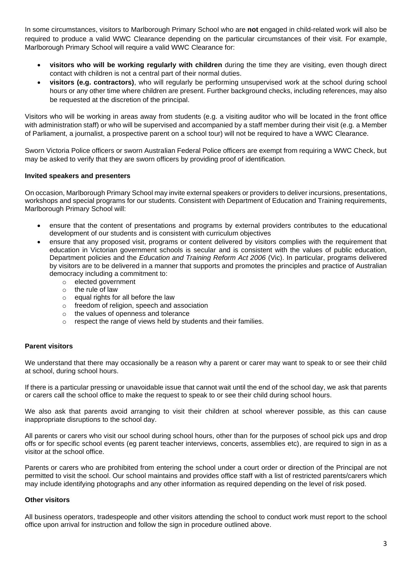In some circumstances, visitors to Marlborough Primary School who are **not** engaged in child-related work will also be required to produce a valid WWC Clearance depending on the particular circumstances of their visit. For example, Marlborough Primary School will require a valid WWC Clearance for:

- **visitors who will be working regularly with children** during the time they are visiting, even though direct contact with children is not a central part of their normal duties.
- **visitors (e.g. contractors)**, who will regularly be performing unsupervised work at the school during school hours or any other time where children are present. Further background checks, including references, may also be requested at the discretion of the principal.

Visitors who will be working in areas away from students (e.g. a visiting auditor who will be located in the front office with administration staff) or who will be supervised and accompanied by a staff member during their visit (e.g. a Member of Parliament, a journalist, a prospective parent on a school tour) will not be required to have a WWC Clearance.

Sworn Victoria Police officers or sworn Australian Federal Police officers are exempt from requiring a WWC Check, but may be asked to verify that they are sworn officers by providing proof of identification.

#### **Invited speakers and presenters**

On occasion, Marlborough Primary School may invite external speakers or providers to deliver incursions, presentations, workshops and special programs for our students. Consistent with Department of Education and Training requirements, Marlborough Primary School will:

- ensure that the content of presentations and programs by external providers contributes to the educational development of our students and is consistent with curriculum objectives
- ensure that any proposed visit, programs or content delivered by visitors complies with the requirement that education in Victorian government schools is secular and is consistent with the values of public education, Department policies and the *Education and Training Reform Act 2006* (Vic). In particular, programs delivered by visitors are to be delivered in a manner that supports and promotes the principles and practice of Australian democracy including a commitment to:
	- o elected government
	- $\circ$  the rule of law
	- o equal rights for all before the law
	- o freedom of religion, speech and association
	- o the values of openness and tolerance
	- o respect the range of views held by students and their families.

#### **Parent visitors**

We understand that there may occasionally be a reason why a parent or carer may want to speak to or see their child at school, during school hours.

If there is a particular pressing or unavoidable issue that cannot wait until the end of the school day, we ask that parents or carers call the school office to make the request to speak to or see their child during school hours.

We also ask that parents avoid arranging to visit their children at school wherever possible, as this can cause inappropriate disruptions to the school day.

All parents or carers who visit our school during school hours, other than for the purposes of school pick ups and drop offs or for specific school events (eg parent teacher interviews, concerts, assemblies etc), are required to sign in as a visitor at the school office.

Parents or carers who are prohibited from entering the school under a court order or direction of the Principal are not permitted to visit the school. Our school maintains and provides office staff with a list of restricted parents/carers which may include identifying photographs and any other information as required depending on the level of risk posed.

#### **Other visitors**

All business operators, tradespeople and other visitors attending the school to conduct work must report to the school office upon arrival for instruction and follow the sign in procedure outlined above.